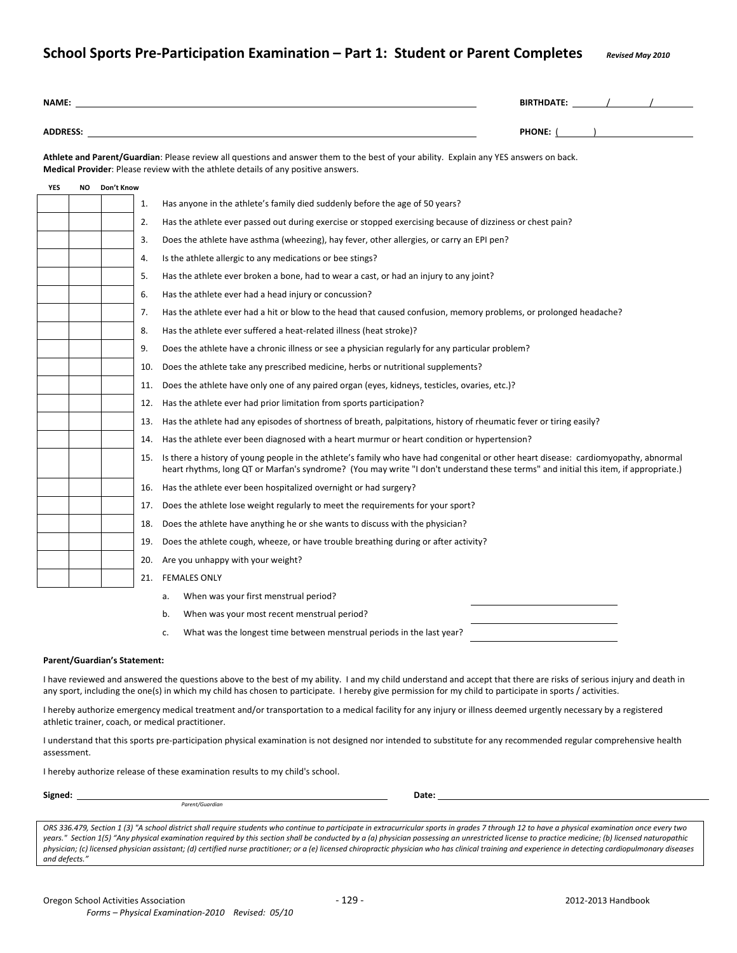## **School Sports Pre‐Participation Examination – Part 1: Student or Parent Completes** *Revised May <sup>2010</sup>*

| NAME:           |           |            |                                                                                                                                                                                                                                                                                 |                                                                                                                                                                                                                             |
|-----------------|-----------|------------|---------------------------------------------------------------------------------------------------------------------------------------------------------------------------------------------------------------------------------------------------------------------------------|-----------------------------------------------------------------------------------------------------------------------------------------------------------------------------------------------------------------------------|
| <b>ADDRESS:</b> |           |            |                                                                                                                                                                                                                                                                                 |                                                                                                                                                                                                                             |
|                 |           |            |                                                                                                                                                                                                                                                                                 | Athlete and Parent/Guardian: Please review all questions and answer them to the best of your ability. Explain any YES answers on back.<br>Medical Provider: Please review with the athlete details of any positive answers. |
| <b>YES</b>      | <b>NO</b> | Don't Know |                                                                                                                                                                                                                                                                                 |                                                                                                                                                                                                                             |
|                 |           |            | 1.                                                                                                                                                                                                                                                                              | Has anyone in the athlete's family died suddenly before the age of 50 years?                                                                                                                                                |
|                 |           |            | 2.                                                                                                                                                                                                                                                                              | Has the athlete ever passed out during exercise or stopped exercising because of dizziness or chest pain?                                                                                                                   |
|                 |           |            | 3.                                                                                                                                                                                                                                                                              | Does the athlete have asthma (wheezing), hay fever, other allergies, or carry an EPI pen?                                                                                                                                   |
|                 |           |            | 4.                                                                                                                                                                                                                                                                              | Is the athlete allergic to any medications or bee stings?                                                                                                                                                                   |
|                 |           |            | 5.                                                                                                                                                                                                                                                                              | Has the athlete ever broken a bone, had to wear a cast, or had an injury to any joint?                                                                                                                                      |
|                 |           |            | 6.                                                                                                                                                                                                                                                                              | Has the athlete ever had a head injury or concussion?                                                                                                                                                                       |
|                 |           |            | 7.                                                                                                                                                                                                                                                                              | Has the athlete ever had a hit or blow to the head that caused confusion, memory problems, or prolonged headache?                                                                                                           |
|                 |           |            | 8.                                                                                                                                                                                                                                                                              | Has the athlete ever suffered a heat-related illness (heat stroke)?                                                                                                                                                         |
|                 |           |            | 9.                                                                                                                                                                                                                                                                              | Does the athlete have a chronic illness or see a physician regularly for any particular problem?                                                                                                                            |
|                 |           |            | 10.                                                                                                                                                                                                                                                                             | Does the athlete take any prescribed medicine, herbs or nutritional supplements?                                                                                                                                            |
|                 |           |            | 11.                                                                                                                                                                                                                                                                             | Does the athlete have only one of any paired organ (eyes, kidneys, testicles, ovaries, etc.)?                                                                                                                               |
|                 |           |            | 12.                                                                                                                                                                                                                                                                             | Has the athlete ever had prior limitation from sports participation?                                                                                                                                                        |
|                 |           |            | 13.                                                                                                                                                                                                                                                                             | Has the athlete had any episodes of shortness of breath, palpitations, history of rheumatic fever or tiring easily?                                                                                                         |
|                 |           |            | 14.                                                                                                                                                                                                                                                                             | Has the athlete ever been diagnosed with a heart murmur or heart condition or hypertension?                                                                                                                                 |
|                 |           |            | 15. Is there a history of young people in the athlete's family who have had congenital or other heart disease: cardiomyopathy, abnormal<br>heart rhythms, long QT or Marfan's syndrome? (You may write "I don't understand these terms" and initial this item, if appropriate.) |                                                                                                                                                                                                                             |
|                 |           |            | 16.                                                                                                                                                                                                                                                                             | Has the athlete ever been hospitalized overnight or had surgery?                                                                                                                                                            |
|                 |           |            | 17.                                                                                                                                                                                                                                                                             | Does the athlete lose weight regularly to meet the requirements for your sport?                                                                                                                                             |
|                 |           |            | 18.                                                                                                                                                                                                                                                                             | Does the athlete have anything he or she wants to discuss with the physician?                                                                                                                                               |
|                 |           |            | 19.                                                                                                                                                                                                                                                                             | Does the athlete cough, wheeze, or have trouble breathing during or after activity?                                                                                                                                         |
|                 |           |            | 20.                                                                                                                                                                                                                                                                             | Are you unhappy with your weight?                                                                                                                                                                                           |
|                 |           |            | 21.                                                                                                                                                                                                                                                                             | <b>FEMALES ONLY</b>                                                                                                                                                                                                         |
|                 |           |            |                                                                                                                                                                                                                                                                                 | When was your first menstrual period?<br>a.                                                                                                                                                                                 |
|                 |           |            |                                                                                                                                                                                                                                                                                 | When was your most recent menstrual period?<br>b.                                                                                                                                                                           |
|                 |           |            |                                                                                                                                                                                                                                                                                 | What was the longest time between menstrual periods in the last year?<br>c.                                                                                                                                                 |

#### **Parent/Guardian's Statement:**

I have reviewed and answered the questions above to the best of my ability. I and my child understand and accept that there are risks of serious injury and death in any sport, including the one(s) in which my child has chosen to participate. I hereby give permission for my child to participate in sports / activities.

I hereby authorize emergency medical treatment and/or transportation to a medical facility for any injury or illness deemed urgently necessary by a registered athletic trainer, coach, or medical practitioner.

I understand that this sports pre-participation physical examination is not designed nor intended to substitute for any recommended regular comprehensive health assessment.

I hereby authorize release of these examination results to my child's school.

 *Parent/Guardian*

**Signed: Date:** 

ORS 336.479, Section 1 (3) "A school district shall require students who continue to participate in extracurricular sports in grades 7 through 12 to have a physical examination once every two years." Section 1(5) "Any physical examination required by this section shall be conducted by a (a) physician possessing an unrestricted license to practice medicine; (b) licensed naturopathic physician; (c) licensed physician assistant; (d) certified nurse practitioner; or a (e) licensed chiropractic physician who has clinical training and experience in detecting cardiopulmonary diseases *and defects."*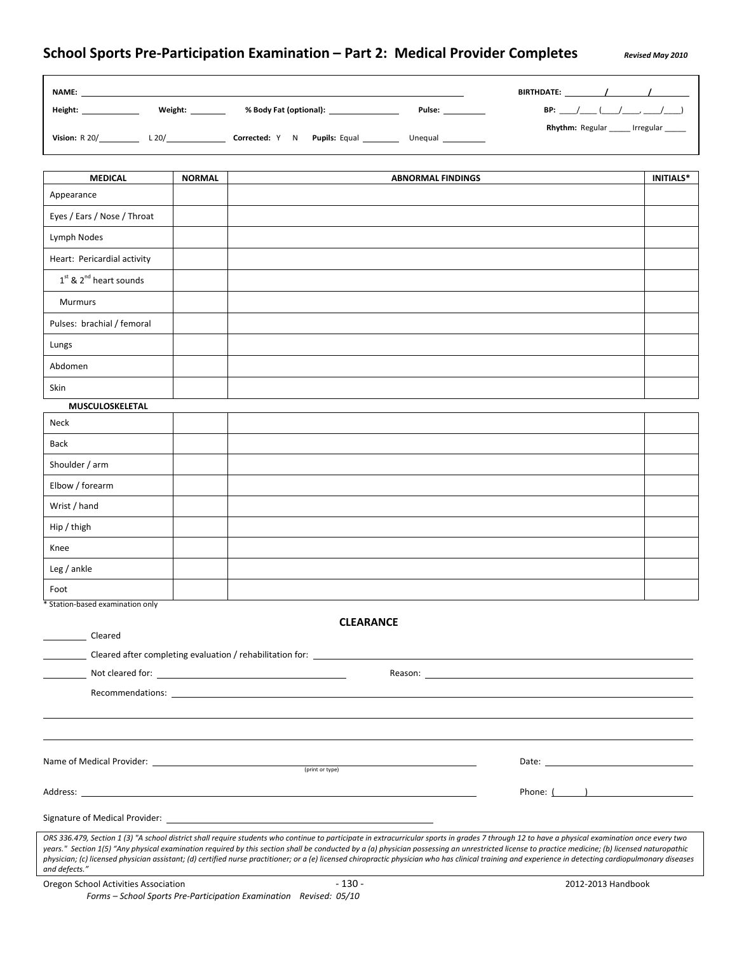|                             |               | NAME: NAME: NAME: NAME: NAME: NAME: NAME: NAME: NAME: NAME: NAME: NAME: NAME: NAME: NAME: NAME: NAME: NAME: NAME: NAME: NAME: NAME: NAME: NAME: NAME: NAME: NAME: NAME: NAME: NAME: NAME: NAME: NAME: NAME: NAME: NAME: NAME: |                                     |
|-----------------------------|---------------|-------------------------------------------------------------------------------------------------------------------------------------------------------------------------------------------------------------------------------|-------------------------------------|
| Height: _______________     |               | Weight: _____________ % Body Fat (optional): ___________________________________<br>Pulse: ___________                                                                                                                        |                                     |
|                             |               |                                                                                                                                                                                                                               | Rhythm: Regular ____ Irregular ____ |
| <b>MEDICAL</b>              | <b>NORMAL</b> | <b>ABNORMAL FINDINGS</b>                                                                                                                                                                                                      | <b>INITIALS*</b>                    |
| Appearance                  |               |                                                                                                                                                                                                                               |                                     |
| Eyes / Ears / Nose / Throat |               |                                                                                                                                                                                                                               |                                     |
| Lymph Nodes                 |               |                                                                                                                                                                                                                               |                                     |
| Heart: Pericardial activity |               |                                                                                                                                                                                                                               |                                     |
| $1st$ & $2nd$ heart sounds  |               |                                                                                                                                                                                                                               |                                     |
| <b>Murmurs</b>              |               |                                                                                                                                                                                                                               |                                     |
| Pulses: brachial / femoral  |               |                                                                                                                                                                                                                               |                                     |
| Lungs                       |               |                                                                                                                                                                                                                               |                                     |
| Abdomen                     |               |                                                                                                                                                                                                                               |                                     |
| Skin                        |               |                                                                                                                                                                                                                               |                                     |
| MUSCULOSKELETAL             |               |                                                                                                                                                                                                                               |                                     |
| Neck                        |               |                                                                                                                                                                                                                               |                                     |
| Back                        |               |                                                                                                                                                                                                                               |                                     |
| Shoulder / arm              |               |                                                                                                                                                                                                                               |                                     |
| Elbow / forearm             |               |                                                                                                                                                                                                                               |                                     |
| Wrist / hand                |               |                                                                                                                                                                                                                               |                                     |
| Hip / thigh                 |               |                                                                                                                                                                                                                               |                                     |
| Knee                        |               |                                                                                                                                                                                                                               |                                     |
| Leg / ankle                 |               |                                                                                                                                                                                                                               |                                     |
| Foot                        |               |                                                                                                                                                                                                                               |                                     |

| Cleared                                                                                                                                                                                                                                                                                                                                                                                                                                                                                                                                                                                                                        |                                                                                                                                                                                                                                |  |  |  |  |  |  |  |  |
|--------------------------------------------------------------------------------------------------------------------------------------------------------------------------------------------------------------------------------------------------------------------------------------------------------------------------------------------------------------------------------------------------------------------------------------------------------------------------------------------------------------------------------------------------------------------------------------------------------------------------------|--------------------------------------------------------------------------------------------------------------------------------------------------------------------------------------------------------------------------------|--|--|--|--|--|--|--|--|
|                                                                                                                                                                                                                                                                                                                                                                                                                                                                                                                                                                                                                                |                                                                                                                                                                                                                                |  |  |  |  |  |  |  |  |
|                                                                                                                                                                                                                                                                                                                                                                                                                                                                                                                                                                                                                                | Reason: New York Changes and Changes and Changes and Changes and Changes and Changes and Changes and Changes and Changes and Changes and Changes and Changes and Changes and Changes and Changes and Changes and Changes and C |  |  |  |  |  |  |  |  |
|                                                                                                                                                                                                                                                                                                                                                                                                                                                                                                                                                                                                                                |                                                                                                                                                                                                                                |  |  |  |  |  |  |  |  |
|                                                                                                                                                                                                                                                                                                                                                                                                                                                                                                                                                                                                                                |                                                                                                                                                                                                                                |  |  |  |  |  |  |  |  |
|                                                                                                                                                                                                                                                                                                                                                                                                                                                                                                                                                                                                                                |                                                                                                                                                                                                                                |  |  |  |  |  |  |  |  |
| Name of Medical Provider: (print or type)                                                                                                                                                                                                                                                                                                                                                                                                                                                                                                                                                                                      | Date: the contract of the contract of the contract of the contract of the contract of the contract of the contract of the contract of the contract of the contract of the contract of the contract of the contract of the cont |  |  |  |  |  |  |  |  |
|                                                                                                                                                                                                                                                                                                                                                                                                                                                                                                                                                                                                                                |                                                                                                                                                                                                                                |  |  |  |  |  |  |  |  |
|                                                                                                                                                                                                                                                                                                                                                                                                                                                                                                                                                                                                                                | Phone: ( )                                                                                                                                                                                                                     |  |  |  |  |  |  |  |  |
|                                                                                                                                                                                                                                                                                                                                                                                                                                                                                                                                                                                                                                |                                                                                                                                                                                                                                |  |  |  |  |  |  |  |  |
| ORS 336.479, Section 1 (3) "A school district shall require students who continue to participate in extracurricular sports in grades 7 through 12 to have a physical examination once every two<br>years." Section 1(5) "Any physical examination required by this section shall be conducted by a (a) physician possessing an unrestricted license to practice medicine; (b) licensed naturopathic<br>physician; (c) licensed physician assistant; (d) certified nurse practitioner; or a (e) licensed chiropractic physician who has clinical training and experience in detecting cardiopulmonary diseases<br>and defects." |                                                                                                                                                                                                                                |  |  |  |  |  |  |  |  |